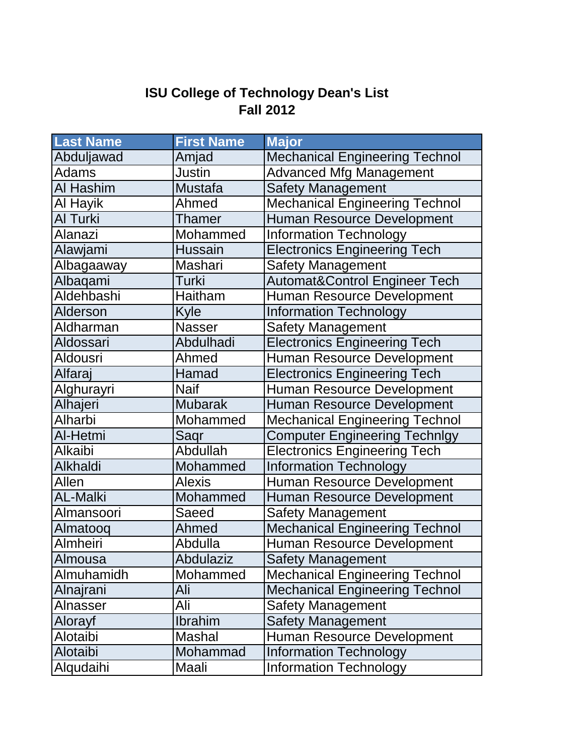## **ISU College of Technology Dean's List Fall 2012**

| <b>Last Name</b>  | <b>First Name</b> | <b>Major</b>                             |
|-------------------|-------------------|------------------------------------------|
| Abduljawad        | Amjad             | <b>Mechanical Engineering Technol</b>    |
| <b>Adams</b>      | <b>Justin</b>     | <b>Advanced Mfg Management</b>           |
| Al Hashim         | <b>Mustafa</b>    | <b>Safety Management</b>                 |
| Al Hayik          | Ahmed             | <b>Mechanical Engineering Technol</b>    |
| Al Turki          | Thamer            | <b>Human Resource Development</b>        |
| <b>Alanazi</b>    | Mohammed          | <b>Information Technology</b>            |
| Alawjami          | <b>Hussain</b>    | <b>Electronics Engineering Tech</b>      |
| Albagaaway        | Mashari           | <b>Safety Management</b>                 |
| Albaqami          | Turki             | <b>Automat&amp;Control Engineer Tech</b> |
| <b>Aldehbashi</b> | Haitham           | Human Resource Development               |
| <b>Alderson</b>   | Kyle              | <b>Information Technology</b>            |
| Aldharman         | <b>Nasser</b>     | Safety Management                        |
| Aldossari         | Abdulhadi         | <b>Electronics Engineering Tech</b>      |
| Aldousri          | Ahmed             | Human Resource Development               |
| Alfaraj           | Hamad             | <b>Electronics Engineering Tech</b>      |
| Alghurayri        | <b>Naif</b>       | Human Resource Development               |
| Alhajeri          | <b>Mubarak</b>    | Human Resource Development               |
| Alharbi           | Mohammed          | <b>Mechanical Engineering Technol</b>    |
| Al-Hetmi          | Saqr              | <b>Computer Engineering Technlgy</b>     |
| Alkaibi           | Abdullah          | <b>Electronics Engineering Tech</b>      |
| <b>Alkhaldi</b>   | Mohammed          | <b>Information Technology</b>            |
| Allen             | <b>Alexis</b>     | Human Resource Development               |
| <b>AL-Malki</b>   | Mohammed          | <b>Human Resource Development</b>        |
| Almansoori        | Saeed             | <b>Safety Management</b>                 |
| Almatooq          | Ahmed             | <b>Mechanical Engineering Technol</b>    |
| <b>Almheiri</b>   | Abdulla           | Human Resource Development               |
| Almousa           | <b>Abdulaziz</b>  | <b>Safety Management</b>                 |
| Almuhamidh        | Mohammed          | <b>Mechanical Engineering Technol</b>    |
| Alnajrani         | Ali               | <b>Mechanical Engineering Technol</b>    |
| Alnasser          | Ali               | <b>Safety Management</b>                 |
| Alorayf           | Ibrahim           | <b>Safety Management</b>                 |
| Alotaibi          | Mashal            | Human Resource Development               |
| Alotaibi          | Mohammad          | <b>Information Technology</b>            |
| Alqudaihi         | Maali             | <b>Information Technology</b>            |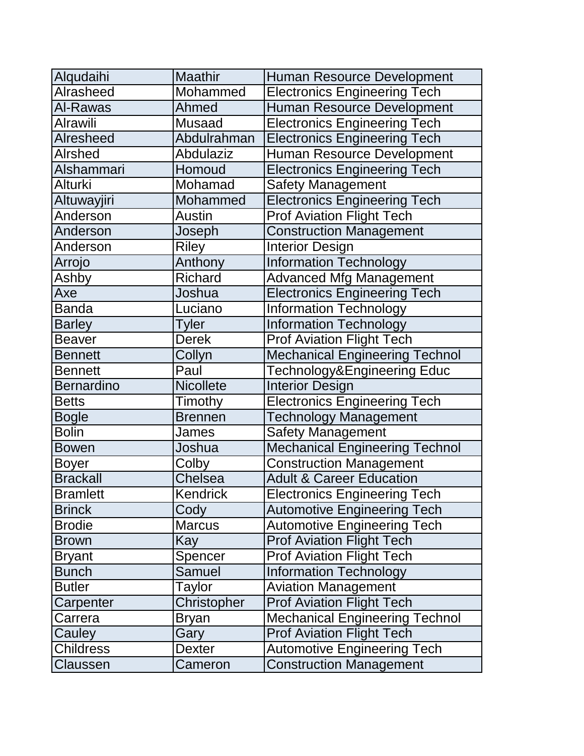| Alqudaihi         | <b>Maathir</b>   | Human Resource Development            |
|-------------------|------------------|---------------------------------------|
| Alrasheed         | Mohammed         | <b>Electronics Engineering Tech</b>   |
| Al-Rawas          | Ahmed            | Human Resource Development            |
| <b>Alrawili</b>   | <b>Musaad</b>    | <b>Electronics Engineering Tech</b>   |
| <b>Alresheed</b>  | Abdulrahman      | <b>Electronics Engineering Tech</b>   |
| <b>Alrshed</b>    | <b>Abdulaziz</b> | Human Resource Development            |
| Alshammari        | Homoud           | <b>Electronics Engineering Tech</b>   |
| Alturki           | Mohamad          | <b>Safety Management</b>              |
| Altuwayjiri       | Mohammed         | <b>Electronics Engineering Tech</b>   |
| Anderson          | Austin           | <b>Prof Aviation Flight Tech</b>      |
| Anderson          | Joseph           | <b>Construction Management</b>        |
| Anderson          | <b>Riley</b>     | <b>Interior Design</b>                |
| Arrojo            | Anthony          | <b>Information Technology</b>         |
| Ashby             | Richard          | <b>Advanced Mfg Management</b>        |
| Axe               | Joshua           | <b>Electronics Engineering Tech</b>   |
| <b>Banda</b>      | Luciano          | <b>Information Technology</b>         |
| <b>Barley</b>     | <b>Tyler</b>     | <b>Information Technology</b>         |
| <b>Beaver</b>     | <b>Derek</b>     | <b>Prof Aviation Flight Tech</b>      |
| <b>Bennett</b>    | Collyn           | <b>Mechanical Engineering Technol</b> |
| <b>Bennett</b>    | Paul             | Technology&Engineering Educ           |
| <b>Bernardino</b> | <b>Nicollete</b> | <b>Interior Design</b>                |
| <b>Betts</b>      | Timothy          | <b>Electronics Engineering Tech</b>   |
| Bogle             | <b>Brennen</b>   | <b>Technology Management</b>          |
| <b>Bolin</b>      | James            | <b>Safety Management</b>              |
| <b>Bowen</b>      | Joshua           | <b>Mechanical Engineering Technol</b> |
| <b>Boyer</b>      | Colby            | <b>Construction Management</b>        |
| <b>Brackall</b>   | <b>Chelsea</b>   | <b>Adult &amp; Career Education</b>   |
| <b>Bramlett</b>   | Kendrick         | <b>Electronics Engineering Tech</b>   |
| <b>Brinck</b>     | Cody             | <b>Automotive Engineering Tech</b>    |
| <b>Brodie</b>     | <b>Marcus</b>    | <b>Automotive Engineering Tech</b>    |
| <b>Brown</b>      | Kay              | <b>Prof Aviation Flight Tech</b>      |
| <b>Bryant</b>     | Spencer          | <b>Prof Aviation Flight Tech</b>      |
| <b>Bunch</b>      | Samuel           | <b>Information Technology</b>         |
| <b>Butler</b>     | Taylor           | <b>Aviation Management</b>            |
| Carpenter         | Christopher      | <b>Prof Aviation Flight Tech</b>      |
| Carrera           | Bryan            | <b>Mechanical Engineering Technol</b> |
| Cauley            | Gary             | <b>Prof Aviation Flight Tech</b>      |
| <b>Childress</b>  | Dexter           | <b>Automotive Engineering Tech</b>    |
| Claussen          | Cameron          | <b>Construction Management</b>        |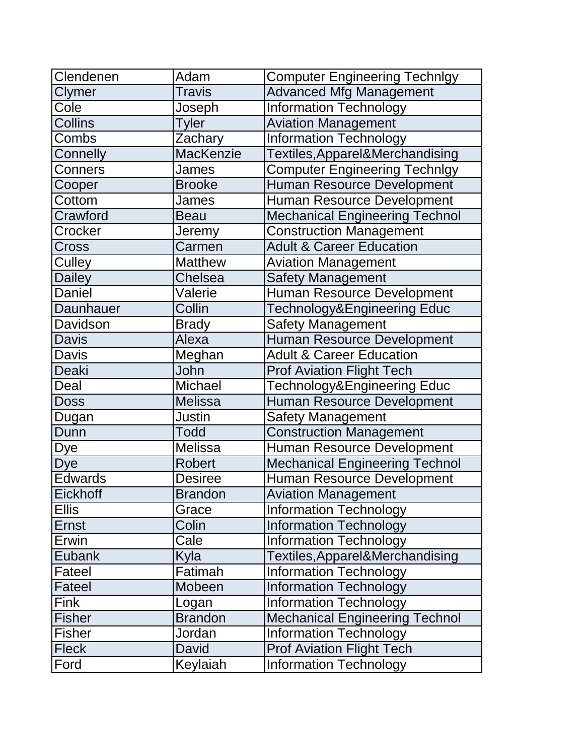| Clendenen      | Adam             | <b>Computer Engineering Technlgy</b>  |
|----------------|------------------|---------------------------------------|
| <b>Clymer</b>  | Travis           | <b>Advanced Mfg Management</b>        |
| Cole           | Joseph           | <b>Information Technology</b>         |
| Collins        | <b>Tyler</b>     | <b>Aviation Management</b>            |
| Combs          | Zachary          | <b>Information Technology</b>         |
| Connelly       | <b>MacKenzie</b> | Textiles, Apparel&Merchandising       |
| <b>Conners</b> | James            | <b>Computer Engineering Technlgy</b>  |
| Cooper         | <b>Brooke</b>    | Human Resource Development            |
| Cottom         | James            | <b>Human Resource Development</b>     |
| Crawford       | <b>Beau</b>      | <b>Mechanical Engineering Technol</b> |
| Crocker        | Jeremy           | <b>Construction Management</b>        |
| <b>Cross</b>   | Carmen           | <b>Adult &amp; Career Education</b>   |
| Culley         | <b>Matthew</b>   | <b>Aviation Management</b>            |
| <b>Dailey</b>  | Chelsea          | <b>Safety Management</b>              |
| <b>Daniel</b>  | Valerie          | Human Resource Development            |
| Daunhauer      | Collin           | Technology&Engineering Educ           |
| Davidson       | <b>Brady</b>     | <b>Safety Management</b>              |
| <b>Davis</b>   | Alexa            | <b>Human Resource Development</b>     |
| Davis          | Meghan           | <b>Adult &amp; Career Education</b>   |
| <b>Deaki</b>   | John             | <b>Prof Aviation Flight Tech</b>      |
| Deal           | Michael          | Technology&Engineering Educ           |
| <b>Doss</b>    | <b>Melissa</b>   | Human Resource Development            |
| Dugan          | <b>Justin</b>    | <b>Safety Management</b>              |
| Dunn           | <b>Todd</b>      | <b>Construction Management</b>        |
| <b>Dye</b>     | Melissa          | <b>Human Resource Development</b>     |
| <b>Dye</b>     | <b>Robert</b>    | <b>Mechanical Engineering Technol</b> |
| <b>Edwards</b> | <b>Desiree</b>   | Human Resource Development            |
| Eickhoff       | <b>Brandon</b>   | <b>Aviation Management</b>            |
| <b>Ellis</b>   | Grace            | <b>Information Technology</b>         |
| <b>Ernst</b>   | Colin            | <b>Information Technology</b>         |
| Erwin          | Cale             | <b>Information Technology</b>         |
| Eubank         | Kyla             | Textiles, Apparel&Merchandising       |
| Fateel         | Fatimah          | <b>Information Technology</b>         |
| Fateel         | Mobeen           | <b>Information Technology</b>         |
| <b>Fink</b>    | Logan            | <b>Information Technology</b>         |
| <b>Fisher</b>  | <b>Brandon</b>   | <b>Mechanical Engineering Technol</b> |
| <b>Fisher</b>  | Jordan           | <b>Information Technology</b>         |
| <b>Fleck</b>   | David            | <b>Prof Aviation Flight Tech</b>      |
| Ford           | Keylaiah         | <b>Information Technology</b>         |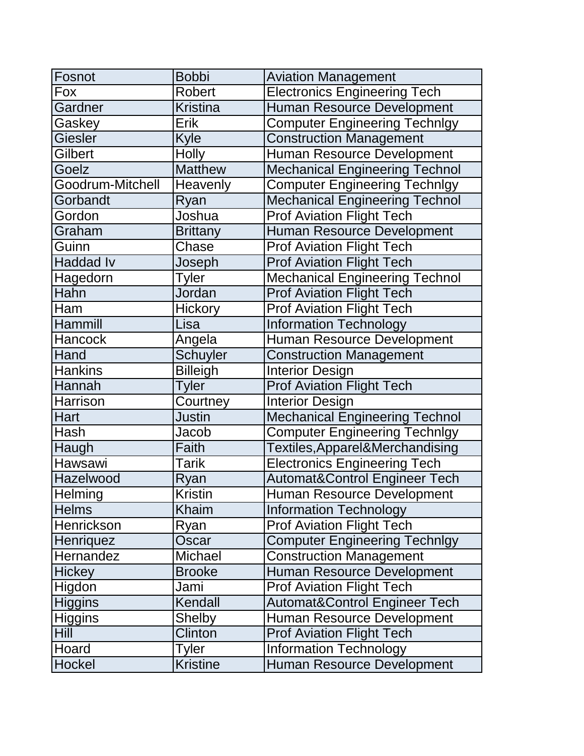| Fosnot           | <b>Bobbi</b>    | <b>Aviation Management</b>            |
|------------------|-----------------|---------------------------------------|
| Fox              | Robert          | <b>Electronics Engineering Tech</b>   |
| Gardner          | <b>Kristina</b> | Human Resource Development            |
| Gaskey           | Erik            | <b>Computer Engineering Technlgy</b>  |
| Giesler          | Kyle            | <b>Construction Management</b>        |
| Gilbert          | <b>Holly</b>    | Human Resource Development            |
| Goelz            | <b>Matthew</b>  | <b>Mechanical Engineering Technol</b> |
| Goodrum-Mitchell | Heavenly        | <b>Computer Engineering Technlgy</b>  |
| Gorbandt         | Ryan            | <b>Mechanical Engineering Technol</b> |
| Gordon           | Joshua          | <b>Prof Aviation Flight Tech</b>      |
| Graham           | <b>Brittany</b> | Human Resource Development            |
| Guinn            | Chase           | <b>Prof Aviation Flight Tech</b>      |
| <b>Haddad Iv</b> | Joseph          | <b>Prof Aviation Flight Tech</b>      |
| Hagedorn         | Tyler           | <b>Mechanical Engineering Technol</b> |
| Hahn             | Jordan          | <b>Prof Aviation Flight Tech</b>      |
| Ham              | <b>Hickory</b>  | <b>Prof Aviation Flight Tech</b>      |
| Hammill          | Lisa            | <b>Information Technology</b>         |
| <b>Hancock</b>   | Angela          | Human Resource Development            |
| Hand             | <b>Schuyler</b> | <b>Construction Management</b>        |
| <b>Hankins</b>   | <b>Billeigh</b> | <b>Interior Design</b>                |
| Hannah           | <b>Tyler</b>    | <b>Prof Aviation Flight Tech</b>      |
| <b>Harrison</b>  | Courtney        | <b>Interior Design</b>                |
| <b>Hart</b>      | <b>Justin</b>   | <b>Mechanical Engineering Technol</b> |
| Hash             | Jacob           | <b>Computer Engineering Technlgy</b>  |
| Haugh            | Faith           | Textiles, Apparel&Merchandising       |
| Hawsawi          | Tarik           | <b>Electronics Engineering Tech</b>   |
| Hazelwood        | Ryan            | Automat&Control Engineer Tech         |
| Helming          | Kristin         | Human Resource Development            |
| <b>Helms</b>     | Khaim           | <b>Information Technology</b>         |
| Henrickson       | Ryan            | <b>Prof Aviation Flight Tech</b>      |
| Henriquez        | Oscar           | <b>Computer Engineering Technlgy</b>  |
| Hernandez        | Michael         | <b>Construction Management</b>        |
| <b>Hickey</b>    | <b>Brooke</b>   | Human Resource Development            |
| Higdon           | Jami            | <b>Prof Aviation Flight Tech</b>      |
| <b>Higgins</b>   | Kendall         | Automat&Control Engineer Tech         |
| <b>Higgins</b>   | <b>Shelby</b>   | Human Resource Development            |
| Hill             | <b>Clinton</b>  | <b>Prof Aviation Flight Tech</b>      |
| Hoard            | Tyler           | <b>Information Technology</b>         |
| Hockel           | <b>Kristine</b> | Human Resource Development            |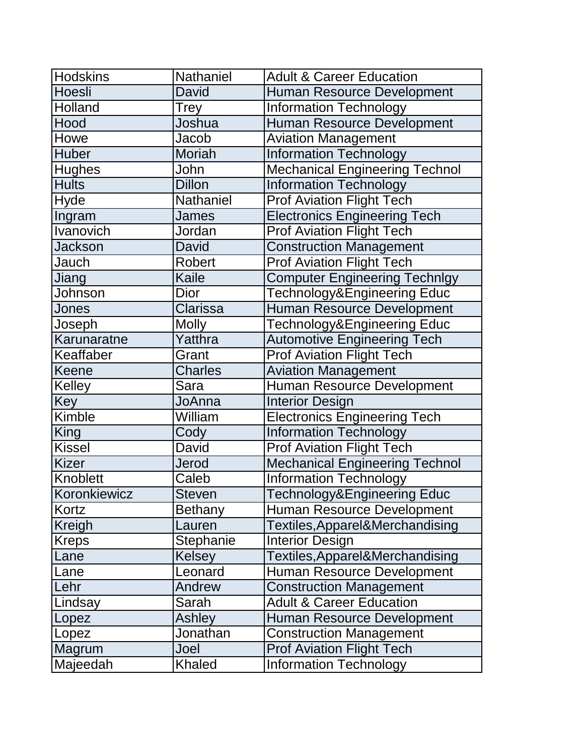| <b>Hodskins</b> | Nathaniel       | <b>Adult &amp; Career Education</b>    |
|-----------------|-----------------|----------------------------------------|
| Hoesli          | David           | Human Resource Development             |
| Holland         | Trey            | <b>Information Technology</b>          |
| Hood            | Joshua          | Human Resource Development             |
| Howe            | Jacob           | <b>Aviation Management</b>             |
| <b>Huber</b>    | <b>Moriah</b>   | <b>Information Technology</b>          |
| <b>Hughes</b>   | John            | <b>Mechanical Engineering Technol</b>  |
| <b>Hults</b>    | <b>Dillon</b>   | <b>Information Technology</b>          |
| <b>Hyde</b>     | Nathaniel       | <b>Prof Aviation Flight Tech</b>       |
| Ingram          | <b>James</b>    | <b>Electronics Engineering Tech</b>    |
| Ivanovich       | Jordan          | <b>Prof Aviation Flight Tech</b>       |
| <b>Jackson</b>  | David           | <b>Construction Management</b>         |
| Jauch           | Robert          | <b>Prof Aviation Flight Tech</b>       |
| Jiang           | <b>Kaile</b>    | <b>Computer Engineering Technlgy</b>   |
| Johnson         | <b>Dior</b>     | Technology&Engineering Educ            |
| Jones           | <b>Clarissa</b> | Human Resource Development             |
| Joseph          | <b>Molly</b>    | Technology&Engineering Educ            |
| Karunaratne     | Yatthra         | <b>Automotive Engineering Tech</b>     |
| Keaffaber       | Grant           | <b>Prof Aviation Flight Tech</b>       |
| Keene           | <b>Charles</b>  | <b>Aviation Management</b>             |
| Kelley          | Sara            | Human Resource Development             |
| Key             | JoAnna          | <b>Interior Design</b>                 |
| Kimble          | William         | <b>Electronics Engineering Tech</b>    |
| King            | Cody            | <b>Information Technology</b>          |
| <b>Kissel</b>   | <b>David</b>    | <b>Prof Aviation Flight Tech</b>       |
| <b>Kizer</b>    | Jerod           | <b>Mechanical Engineering Technol</b>  |
| Knoblett        | Caleb           | <b>Information Technology</b>          |
| Koronkiewicz    | <b>Steven</b>   | <b>Technology&amp;Engineering Educ</b> |
| Kortz           | <b>Bethany</b>  | Human Resource Development             |
| Kreigh          | Lauren          | Textiles, Apparel&Merchandising        |
| <b>Kreps</b>    | Stephanie       | <b>Interior Design</b>                 |
| Lane            | Kelsey          | Textiles, Apparel&Merchandising        |
| Lane            | Leonard         | Human Resource Development             |
| Lehr            | Andrew          | <b>Construction Management</b>         |
| Lindsay         | Sarah           | <b>Adult &amp; Career Education</b>    |
| Lopez           | Ashley          | <b>Human Resource Development</b>      |
| Lopez           | Jonathan        | <b>Construction Management</b>         |
| Magrum          | Joel            | <b>Prof Aviation Flight Tech</b>       |
| Majeedah        | Khaled          | <b>Information Technology</b>          |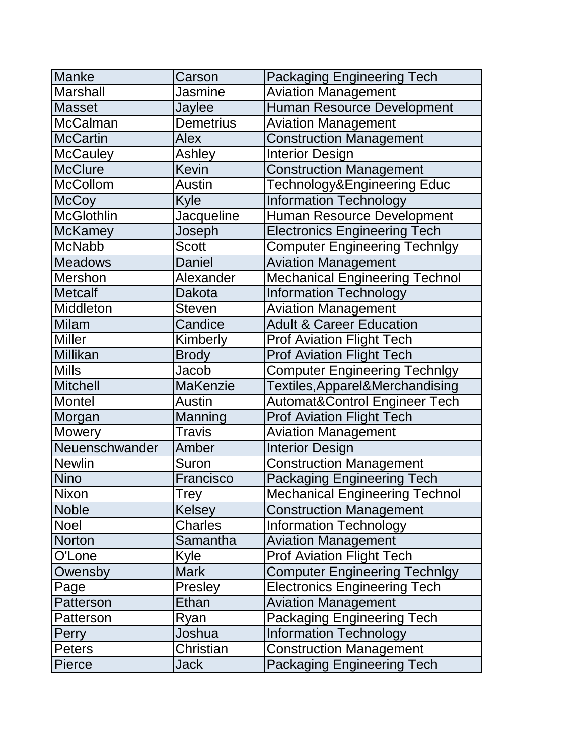| <b>Manke</b>    | Carson           | <b>Packaging Engineering Tech</b>        |
|-----------------|------------------|------------------------------------------|
| <b>Marshall</b> | Jasmine          | <b>Aviation Management</b>               |
| <b>Masset</b>   | Jaylee           | <b>Human Resource Development</b>        |
| <b>McCalman</b> | <b>Demetrius</b> | <b>Aviation Management</b>               |
| <b>McCartin</b> | Alex             | <b>Construction Management</b>           |
| <b>McCauley</b> | Ashley           | <b>Interior Design</b>                   |
| <b>McClure</b>  | <b>Kevin</b>     | <b>Construction Management</b>           |
| <b>McCollom</b> | <b>Austin</b>    | Technology&Engineering Educ              |
| <b>McCoy</b>    | Kyle             | <b>Information Technology</b>            |
| McGlothlin      | Jacqueline       | Human Resource Development               |
| <b>McKamey</b>  | Joseph           | <b>Electronics Engineering Tech</b>      |
| <b>McNabb</b>   | <b>Scott</b>     | <b>Computer Engineering Technlgy</b>     |
| <b>Meadows</b>  | <b>Daniel</b>    | <b>Aviation Management</b>               |
| Mershon         | Alexander        | <b>Mechanical Engineering Technol</b>    |
| <b>Metcalf</b>  | Dakota           | <b>Information Technology</b>            |
| Middleton       | <b>Steven</b>    | <b>Aviation Management</b>               |
| <b>Milam</b>    | Candice          | <b>Adult &amp; Career Education</b>      |
| <b>Miller</b>   | Kimberly         | <b>Prof Aviation Flight Tech</b>         |
| <b>Millikan</b> | <b>Brody</b>     | <b>Prof Aviation Flight Tech</b>         |
| <b>Mills</b>    | Jacob            | <b>Computer Engineering Technlgy</b>     |
| <b>Mitchell</b> | <b>MaKenzie</b>  | Textiles, Apparel&Merchandising          |
| Montel          | <b>Austin</b>    | <b>Automat&amp;Control Engineer Tech</b> |
| Morgan          | Manning          | <b>Prof Aviation Flight Tech</b>         |
| Mowery          | <b>Travis</b>    | <b>Aviation Management</b>               |
| Neuenschwander  | Amber            | <b>Interior Design</b>                   |
| <b>Newlin</b>   | Suron            | <b>Construction Management</b>           |
| <b>Nino</b>     | Francisco        | <b>Packaging Engineering Tech</b>        |
| Nixon           | <b>Trey</b>      | <b>Mechanical Engineering Technol</b>    |
| <b>Noble</b>    | Kelsey           | <b>Construction Management</b>           |
| Noel            | <b>Charles</b>   | <b>Information Technology</b>            |
| <b>Norton</b>   | Samantha         | <b>Aviation Management</b>               |
| O'Lone          | Kyle             | <b>Prof Aviation Flight Tech</b>         |
| Owensby         | <b>Mark</b>      | <b>Computer Engineering Technlgy</b>     |
| Page            | Presley          | <b>Electronics Engineering Tech</b>      |
| Patterson       | Ethan            | <b>Aviation Management</b>               |
| Patterson       | Ryan             | <b>Packaging Engineering Tech</b>        |
| Perry           | Joshua           | <b>Information Technology</b>            |
| <b>Peters</b>   | Christian        | <b>Construction Management</b>           |
| Pierce          | <b>Jack</b>      | <b>Packaging Engineering Tech</b>        |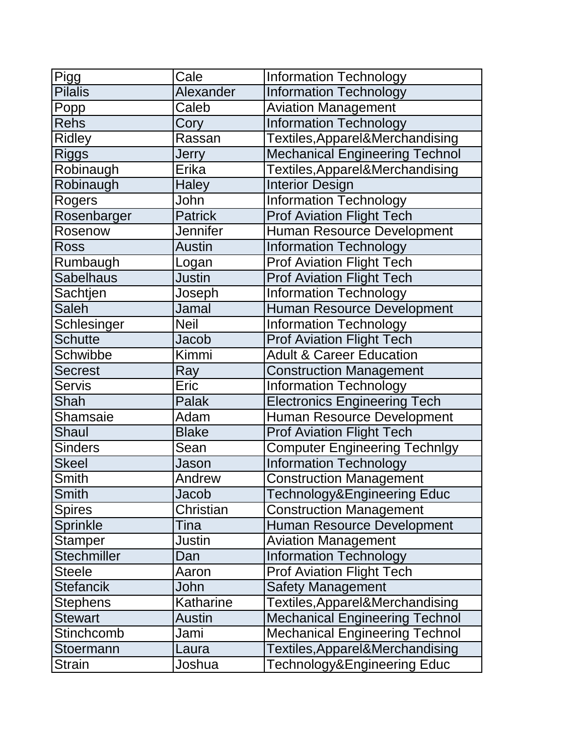| Pigg             | Cale            | <b>Information Technology</b>         |
|------------------|-----------------|---------------------------------------|
| <b>Pilalis</b>   | Alexander       | <b>Information Technology</b>         |
| Popp             | Caleb           | <b>Aviation Management</b>            |
| <b>Rehs</b>      | Cory            | <b>Information Technology</b>         |
| <b>Ridley</b>    | Rassan          | Textiles, Apparel&Merchandising       |
| <b>Riggs</b>     | Jerry           | <b>Mechanical Engineering Technol</b> |
| Robinaugh        | Erika           | Textiles, Apparel&Merchandising       |
| Robinaugh        | <b>Haley</b>    | <b>Interior Design</b>                |
| Rogers           | John            | <b>Information Technology</b>         |
| Rosenbarger      | <b>Patrick</b>  | <b>Prof Aviation Flight Tech</b>      |
| Rosenow          | <b>Jennifer</b> | Human Resource Development            |
| <b>Ross</b>      | <b>Austin</b>   | <b>Information Technology</b>         |
| Rumbaugh         | Logan           | <b>Prof Aviation Flight Tech</b>      |
| <b>Sabelhaus</b> | <b>Justin</b>   | <b>Prof Aviation Flight Tech</b>      |
| Sachtjen         | Joseph          | <b>Information Technology</b>         |
| <b>Saleh</b>     | Jamal           | Human Resource Development            |
| Schlesinger      | <b>Neil</b>     | <b>Information Technology</b>         |
| <b>Schutte</b>   | Jacob           | <b>Prof Aviation Flight Tech</b>      |
| Schwibbe         | Kimmi           | <b>Adult &amp; Career Education</b>   |
| <b>Secrest</b>   | Ray             | <b>Construction Management</b>        |
| <b>Servis</b>    | Eric            | <b>Information Technology</b>         |
| Shah             | Palak           | <b>Electronics Engineering Tech</b>   |
| Shamsaie         | Adam            | Human Resource Development            |
| Shaul            | <b>Blake</b>    | <b>Prof Aviation Flight Tech</b>      |
| <b>Sinders</b>   | Sean            | <b>Computer Engineering Technlgy</b>  |
| <b>Skeel</b>     | Jason           | <b>Information Technology</b>         |
| <b>Smith</b>     | Andrew          | <b>Construction Management</b>        |
| Smith            | Jacob           | Technology&Engineering Educ           |
| <b>Spires</b>    | Christian       | <b>Construction Management</b>        |
| Sprinkle         | Tina            | Human Resource Development            |
| <b>Stamper</b>   | Justin          | <b>Aviation Management</b>            |
| Stechmiller      | Dan             | <b>Information Technology</b>         |
| <b>Steele</b>    | Aaron           | <b>Prof Aviation Flight Tech</b>      |
| <b>Stefancik</b> | John            | <b>Safety Management</b>              |
| <b>Stephens</b>  | Katharine       | Textiles, Apparel&Merchandising       |
| <b>Stewart</b>   | <b>Austin</b>   | <b>Mechanical Engineering Technol</b> |
| Stinchcomb       | Jami            | <b>Mechanical Engineering Technol</b> |
| Stoermann        | Laura           | Textiles, Apparel&Merchandising       |
| <b>Strain</b>    | Joshua          | Technology&Engineering Educ           |